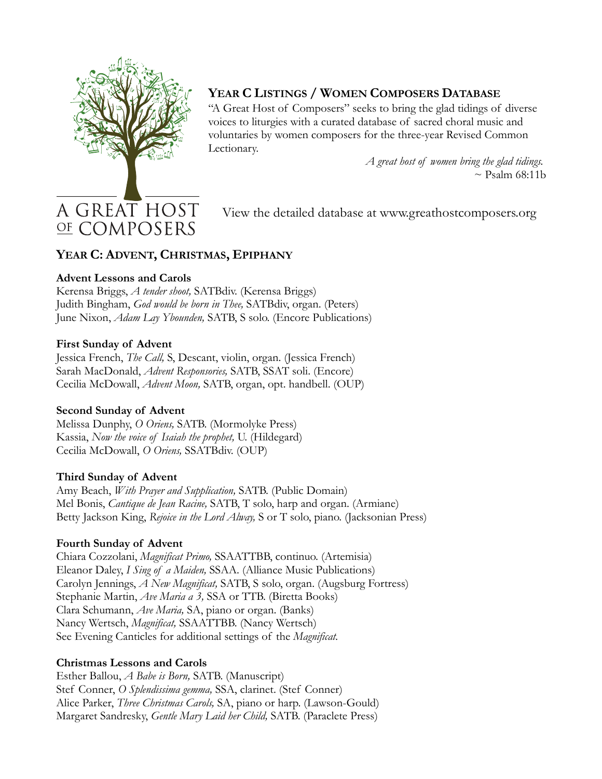

# **YEAR C LISTINGS / WOMEN COMPOSERS DATABASE**

"A Great Host of Composers" seeks to bring the glad tidings of diverse voices to liturgies with a curated database of sacred choral music and voluntaries by women composers for the three-year Revised Common Lectionary.

> *A great host of women bring the glad tidings.*  $\sim$  Psalm 68:11b

# A GREAT HOST OF COMPOSERS

View the detailed database at www.greathostcomposers.org

# **YEAR C: ADVENT, CHRISTMAS, EPIPHANY**

#### **Advent Lessons and Carols**

Kerensa Briggs, *A tender shoot,* SATBdiv. (Kerensa Briggs) Judith Bingham, *God would be born in Thee,* SATBdiv, organ. (Peters) June Nixon, *Adam Lay Ybounden,* SATB, S solo. (Encore Publications)

#### **First Sunday of Advent**

Jessica French, *The Call,* S, Descant, violin, organ. (Jessica French) Sarah MacDonald, *Advent Responsories,* SATB, SSAT soli. (Encore) Cecilia McDowall, *Advent Moon,* SATB, organ, opt. handbell. (OUP)

## **Second Sunday of Advent**

Melissa Dunphy, *O Oriens,* SATB. (Mormolyke Press) Kassia, *Now the voice of Isaiah the prophet,* U. (Hildegard) Cecilia McDowall, *O Oriens,* SSATBdiv. (OUP)

## **Third Sunday of Advent**

Amy Beach, *With Prayer and Supplication,* SATB. (Public Domain) Mel Bonis, *Cantique de Jean Racine,* SATB, T solo, harp and organ. (Armiane) Betty Jackson King, *Rejoice in the Lord Alway,* S or T solo, piano. (Jacksonian Press)

## **Fourth Sunday of Advent**

Chiara Cozzolani, *Magnificat Primo,* SSAATTBB, continuo. (Artemisia) Eleanor Daley, *I Sing of a Maiden,* SSAA. (Alliance Music Publications) Carolyn Jennings, *A New Magnificat,* SATB, S solo, organ. (Augsburg Fortress) Stephanie Martin, *Ave Maria a 3,* SSA or TTB. (Biretta Books) Clara Schumann, *Ave Maria,* SA, piano or organ. (Banks) Nancy Wertsch, *Magnificat,* SSAATTBB. (Nancy Wertsch) See Evening Canticles for additional settings of the *Magnificat.*

## **Christmas Lessons and Carols**

Esther Ballou, *A Babe is Born,* SATB. (Manuscript) Stef Conner, *O Splendissima gemma,* SSA, clarinet. (Stef Conner) Alice Parker, *Three Christmas Carols,* SA, piano or harp. (Lawson-Gould) Margaret Sandresky, *Gentle Mary Laid her Child,* SATB. (Paraclete Press)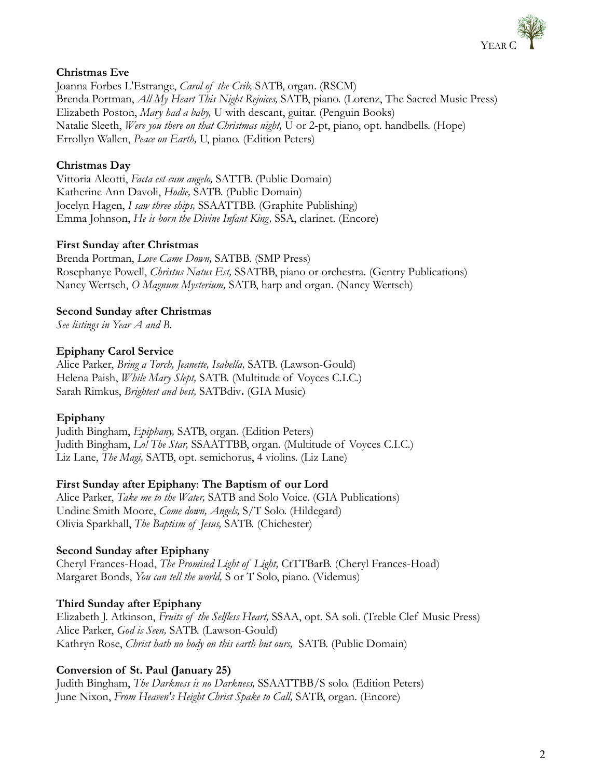

#### **Christmas Eve**

Joanna Forbes L'Estrange, *Carol of the Crib,* SATB, organ. (RSCM) Brenda Portman, *All My Heart This Night Rejoices,* SATB, piano. (Lorenz, The Sacred Music Press) Elizabeth Poston, *Mary had a baby,* U with descant, guitar. (Penguin Books) Natalie Sleeth, *Were you there on that Christmas night,* U or 2-pt, piano, opt. handbells. (Hope) Errollyn Wallen, *Peace on Earth,* U, piano. (Edition Peters)

## **Christmas Day**

Vittoria Aleotti, *Facta est cum angelo,* SATTB. (Public Domain) Katherine Ann Davoli, *Hodie,* SATB. (Public Domain) Jocelyn Hagen, *I saw three ships,* SSAATTBB. (Graphite Publishing) Emma Johnson, *He is born the Divine Infant King,* SSA, clarinet. (Encore)

#### **First Sunday after Christmas**

Brenda Portman, *Love Came Down,* SATBB. (SMP Press) Rosephanye Powell, *Christus Natus Est,* SSATBB, piano or orchestra. (Gentry Publications) Nancy Wertsch, *O Magnum Mysterium,* SATB, harp and organ. (Nancy Wertsch)

## **Second Sunday after Christmas**

*See listings in Year A and B.*

#### **Epiphany Carol Service**

Alice Parker, *Bring a Torch, Jeanette, Isabella,* SATB. (Lawson-Gould) Helena Paish, *While Mary Slept,* SATB. (Multitude of Voyces C.I.C.) Sarah Rimkus, *Brightest and best,* SATBdiv**.** (GIA Music)

## **Epiphany**

Judith Bingham, *Epiphany,* SATB, organ. (Edition Peters) Judith Bingham, *Lo! The Star,* SSAATTBB, organ. (Multitude of Voyces C.I.C.) Liz Lane, *The Magi,* SATB, opt. semichorus, 4 violins. (Liz Lane)

#### **First Sunday after Epiphany**: **The Baptism of our Lord**

Alice Parker, *Take me to the Water,* SATB and Solo Voice. (GIA Publications) Undine Smith Moore, *Come down, Angels,* S/T Solo. (Hildegard) Olivia Sparkhall, *The Baptism of Jesus,* SATB. (Chichester)

## **Second Sunday after Epiphany**

Cheryl Frances-Hoad, *The Promised Light of Light,* CtTTBarB. (Cheryl Frances-Hoad) Margaret Bonds, *You can tell the world,* S or T Solo, piano. (Videmus)

## **Third Sunday after Epiphany**

Elizabeth J. Atkinson, *Fruits of the Selfless Heart,* SSAA, opt. SA soli. (Treble Clef Music Press) Alice Parker, *God is Seen,* SATB. (Lawson-Gould) Kathryn Rose, *Christ hath no body on this earth but ours,* SATB. (Public Domain)

## **Conversion of St. Paul (January 25)**

Judith Bingham, *The Darkness is no Darkness,* SSAATTBB/S solo. (Edition Peters) June Nixon, *From Heaven's Height Christ Spake to Call,* SATB, organ. (Encore)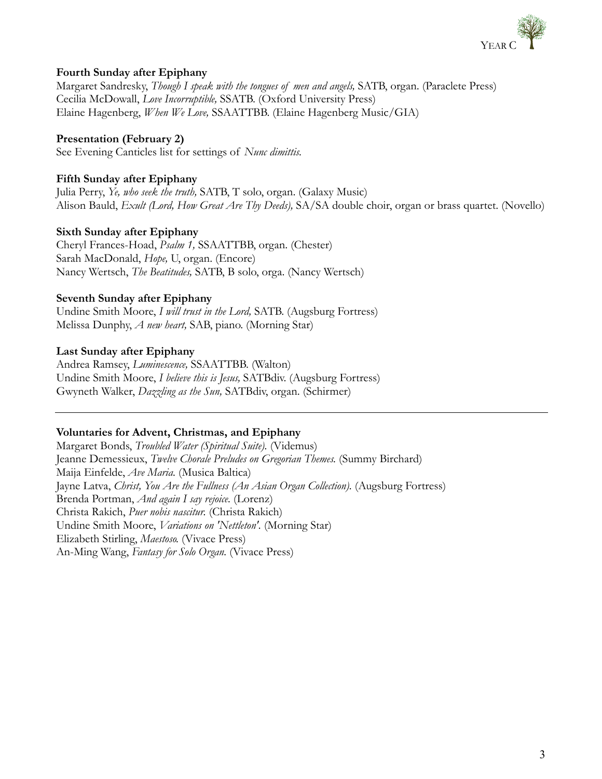

## **Fourth Sunday after Epiphany**

Margaret Sandresky, *Though I speak with the tongues of men and angels,* SATB, organ. (Paraclete Press) Cecilia McDowall, *Love Incorruptible,* SSATB. (Oxford University Press) Elaine Hagenberg, *When We Love,* SSAATTBB. (Elaine Hagenberg Music/GIA)

#### **Presentation (February 2)**

See Evening Canticles list for settings of *Nunc dimittis.*

#### **Fifth Sunday after Epiphany**

Julia Perry, *Ye, who seek the truth,* SATB, T solo, organ. (Galaxy Music) Alison Bauld, *Exult (Lord, How Great Are Thy Deeds),* SA/SA double choir, organ or brass quartet. (Novello)

#### **Sixth Sunday after Epiphany**

Cheryl Frances-Hoad, *Psalm 1,* SSAATTBB, organ. (Chester) Sarah MacDonald, *Hope,* U, organ. (Encore) Nancy Wertsch, *The Beatitudes,* SATB, B solo, orga. (Nancy Wertsch)

#### **Seventh Sunday after Epiphany**

Undine Smith Moore, *I will trust in the Lord,* SATB. (Augsburg Fortress) Melissa Dunphy, *A new heart,* SAB, piano. (Morning Star)

#### **Last Sunday after Epiphany**

Andrea Ramsey, *Luminescence,* SSAATTBB. (Walton) Undine Smith Moore, *I believe this is Jesus,* SATBdiv. (Augsburg Fortress) Gwyneth Walker, *Dazzling as the Sun,* SATBdiv, organ. (Schirmer)

#### **Voluntaries for Advent, Christmas, and Epiphany**

Margaret Bonds, *Troubled Water (Spiritual Suite).* (Videmus) Jeanne Demessieux, *Twelve Chorale Preludes on Gregorian Themes.* (Summy Birchard) Maija Einfelde, *Ave Maria.* (Musica Baltica) Jayne Latva, *Christ, You Are the Fullness (An Asian Organ Collection).* (Augsburg Fortress) Brenda Portman, *And again I say rejoice.* (Lorenz) Christa Rakich, *Puer nobis nascitur.* (Christa Rakich) Undine Smith Moore, *Variations on 'Nettleton'.* (Morning Star) Elizabeth Stirling, *Maestoso.* (Vivace Press) An-Ming Wang, *Fantasy for Solo Organ.* (Vivace Press)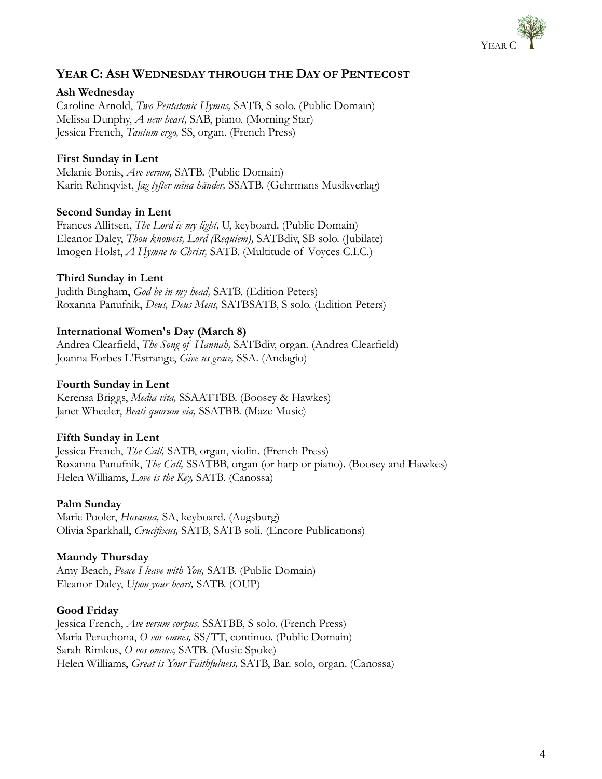

## **YEAR C: ASH WEDNESDAY THROUGH THE DAY OF PENTECOST**

#### **Ash Wednesday**

Caroline Arnold, *Two Pentatonic Hymns,* SATB, S solo. (Public Domain) Melissa Dunphy, *A new heart,* SAB, piano. (Morning Star) Jessica French, *Tantum ergo,* SS, organ. (French Press)

#### **First Sunday in Lent**

Melanie Bonis, *Ave verum,* SATB. (Public Domain) Karin Rehnqvist, *Jag lyfter mina händer,* SSATB. (Gehrmans Musikverlag)

#### **Second Sunday in Lent**

Frances Allitsen, *The Lord is my light,* U, keyboard. (Public Domain) Eleanor Daley, *Thou knowest, Lord (Requiem),* SATBdiv, SB solo. (Jubilate) Imogen Holst, *A Hymne to Christ,* SATB. (Multitude of Voyces C.I.C.)

#### **Third Sunday in Lent**

Judith Bingham, *God be in my head,* SATB. (Edition Peters) Roxanna Panufnik, *Deus, Deus Meus,* SATBSATB, S solo. (Edition Peters)

#### **International Women's Day (March 8)**

Andrea Clearfield, *The Song of Hannah,* SATBdiv, organ. (Andrea Clearfield) Joanna Forbes L'Estrange, *Give us grace,* SSA. (Andagio)

#### **Fourth Sunday in Lent**

Kerensa Briggs, *Media vita,* SSAATTBB. (Boosey & Hawkes) Janet Wheeler, *Beati quorum via,* SSATBB. (Maze Music)

#### **Fifth Sunday in Lent**

Jessica French, *The Call,* SATB, organ, violin. (French Press) Roxanna Panufnik, *The Call,* SSATBB, organ (or harp or piano). (Boosey and Hawkes) Helen Williams, *Love is the Key,* SATB. (Canossa)

#### **Palm Sunday**

Marie Pooler, *Hosanna,* SA, keyboard. (Augsburg) Olivia Sparkhall, *Crucifixus,* SATB, SATB soli. (Encore Publications)

#### **Maundy Thursday**

Amy Beach, *Peace I leave with You,* SATB. (Public Domain) Eleanor Daley, *Upon your heart,* SATB. (OUP)

#### **Good Friday**

Jessica French, *Ave verum corpus,* SSATBB, S solo. (French Press) Maria Peruchona, *O vos omnes,* SS/TT, continuo. (Public Domain) Sarah Rimkus, *O vos omnes,* SATB. (Music Spoke) Helen Williams, *Great is Your Faithfulness,* SATB, Bar. solo, organ. (Canossa)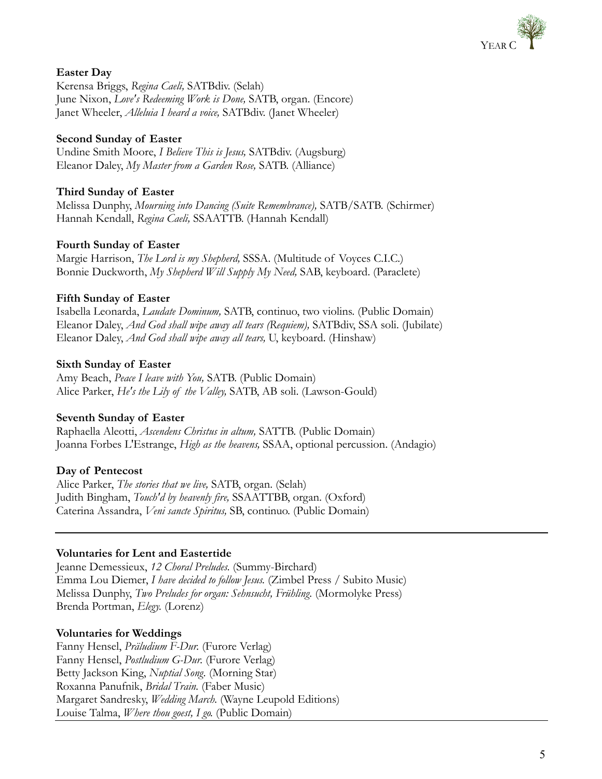

## **Easter Day**

Kerensa Briggs, *Regina Caeli,* SATBdiv. (Selah) June Nixon, *Love's Redeeming Work is Done,* SATB, organ. (Encore) Janet Wheeler, *Alleluia I heard a voice,* SATBdiv. (Janet Wheeler)

## **Second Sunday of Easter**

Undine Smith Moore, *I Believe This is Jesus,* SATBdiv. (Augsburg) Eleanor Daley, *My Master from a Garden Rose,* SATB. (Alliance)

## **Third Sunday of Easter**

Melissa Dunphy, *Mourning into Dancing (Suite Remembrance),* SATB/SATB. (Schirmer) Hannah Kendall, *Regina Caeli,* SSAATTB. (Hannah Kendall)

#### **Fourth Sunday of Easter**

Margie Harrison, *The Lord is my Shepherd,* SSSA. (Multitude of Voyces C.I.C.) Bonnie Duckworth, *My Shepherd Will Supply My Need,* SAB, keyboard. (Paraclete)

#### **Fifth Sunday of Easter**

Isabella Leonarda, *Laudate Dominum,* SATB, continuo, two violins. (Public Domain) Eleanor Daley, *And God shall wipe away all tears (Requiem),* SATBdiv, SSA soli. (Jubilate) Eleanor Daley, *And God shall wipe away all tears,* U, keyboard. (Hinshaw)

#### **Sixth Sunday of Easter**

Amy Beach, *Peace I leave with You,* SATB. (Public Domain) Alice Parker, *He's the Lily of the Valley,* SATB, AB soli. (Lawson-Gould)

## **Seventh Sunday of Easter**

Raphaella Aleotti, *Ascendens Christus in altum,* SATTB. (Public Domain) Joanna Forbes L'Estrange, *High as the heavens,* SSAA, optional percussion. (Andagio)

#### **Day of Pentecost**

Alice Parker, *The stories that we live,* SATB, organ. (Selah) Judith Bingham, *Touch'd by heavenly fire,* SSAATTBB, organ. (Oxford) Caterina Assandra, *Veni sancte Spiritus,* SB, continuo. (Public Domain)

#### **Voluntaries for Lent and Eastertide**

Jeanne Demessieux, *12 Choral Preludes.* (Summy-Birchard) Emma Lou Diemer, *I have decided to follow Jesus.* (Zimbel Press / Subito Music) Melissa Dunphy, *Two Preludes for organ: Sehnsucht, Frühling.* (Mormolyke Press) Brenda Portman, *Elegy.* (Lorenz)

#### **Voluntaries for Weddings**

Fanny Hensel, *Präludium F-Dur.* (Furore Verlag) Fanny Hensel, *Postludium G-Dur.* (Furore Verlag) Betty Jackson King, *Nuptial Song.* (Morning Star) Roxanna Panufnik, *Bridal Train.* (Faber Music) Margaret Sandresky, *Wedding March.* (Wayne Leupold Editions) Louise Talma, *Where thou goest, I go.* (Public Domain)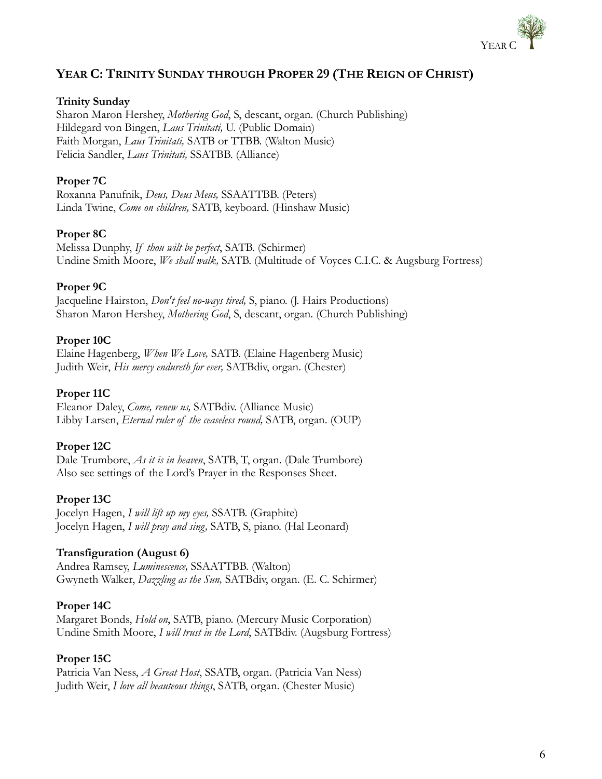

## **YEAR C: TRINITY SUNDAY THROUGH PROPER 29 (THE REIGN OF CHRIST)**

#### **Trinity Sunday**

Sharon Maron Hershey, *Mothering God*, S, descant, organ. (Church Publishing) Hildegard von Bingen, *Laus Trinitati,* U. (Public Domain) Faith Morgan, *Laus Trinitati,* SATB or TTBB. (Walton Music) Felicia Sandler, *Laus Trinitati,* SSATBB. (Alliance)

#### **Proper 7C**

Roxanna Panufnik, *Deus, Deus Meus,* SSAATTBB. (Peters) Linda Twine, *Come on children,* SATB, keyboard. (Hinshaw Music)

#### **Proper 8C**

Melissa Dunphy, *If thou wilt be perfect*, SATB. (Schirmer) Undine Smith Moore, *We shall walk,* SATB. (Multitude of Voyces C.I.C. & Augsburg Fortress)

#### **Proper 9C**

Jacqueline Hairston, *Don't feel no-ways tired,* S, piano. (J. Hairs Productions) Sharon Maron Hershey, *Mothering God*, S, descant, organ. (Church Publishing)

#### **Proper 10C**

Elaine Hagenberg, *When We Love,* SATB. (Elaine Hagenberg Music) Judith Weir, *His mercy endureth for ever,* SATBdiv, organ. (Chester)

#### **Proper 11C**

Eleanor Daley, *Come, renew us,* SATBdiv. (Alliance Music) Libby Larsen, *Eternal ruler of the ceaseless round,* SATB, organ. (OUP)

#### **Proper 12C**

Dale Trumbore, *As it is in heaven*, SATB, T, organ. (Dale Trumbore) Also see settings of the Lord's Prayer in the Responses Sheet.

#### **Proper 13C**

Jocelyn Hagen, *I will lift up my eyes,* SSATB. (Graphite) Jocelyn Hagen, *I will pray and sing,* SATB, S, piano. (Hal Leonard)

#### **Transfiguration (August 6)**

Andrea Ramsey, *Luminescence,* SSAATTBB. (Walton) Gwyneth Walker, *Dazzling as the Sun,* SATBdiv, organ. (E. C. Schirmer)

#### **Proper 14C**

Margaret Bonds, *Hold on*, SATB, piano. (Mercury Music Corporation) Undine Smith Moore, *I will trust in the Lord*, SATBdiv. (Augsburg Fortress)

#### **Proper 15C**

Patricia Van Ness, *A Great Host*, SSATB, organ. (Patricia Van Ness) Judith Weir, *I love all beauteous things*, SATB, organ. (Chester Music)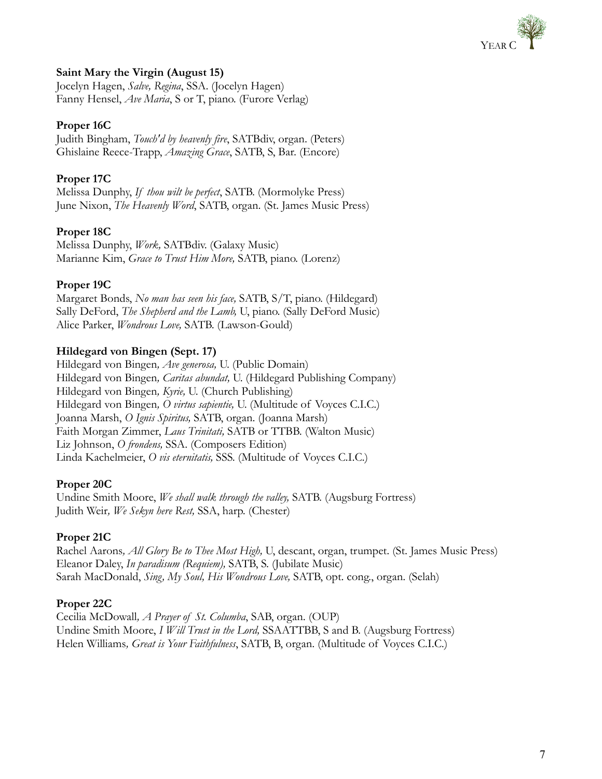

## **Saint Mary the Virgin (August 15)**

Jocelyn Hagen, *Salve, Regina*, SSA. (Jocelyn Hagen) Fanny Hensel, *Ave Maria*, S or T, piano. (Furore Verlag)

#### **Proper 16C**

Judith Bingham, *Touch'd by heavenly fire*, SATBdiv, organ. (Peters) Ghislaine Reece-Trapp, *Amazing Grace*, SATB, S, Bar. (Encore)

## **Proper 17C**

Melissa Dunphy, *If thou wilt be perfect*, SATB. (Mormolyke Press) June Nixon, *The Heavenly Word*, SATB, organ. (St. James Music Press)

#### **Proper 18C**

Melissa Dunphy, *Work,* SATBdiv. (Galaxy Music) Marianne Kim, *Grace to Trust Him More,* SATB, piano. (Lorenz)

#### **Proper 19C**

Margaret Bonds, *No man has seen his face,* SATB, S/T, piano. (Hildegard) Sally DeFord, *The Shepherd and the Lamb,* U, piano. (Sally DeFord Music) Alice Parker, *Wondrous Love,* SATB. (Lawson-Gould)

#### **Hildegard von Bingen (Sept. 17)**

Hildegard von Bingen*, Ave generosa,* U. (Public Domain) Hildegard von Bingen*, Caritas abundat,* U. (Hildegard Publishing Company) Hildegard von Bingen*, Kyrie,* U. (Church Publishing) Hildegard von Bingen*, O virtus sapientie,* U. (Multitude of Voyces C.I.C.) Joanna Marsh, *O Ignis Spiritus,* SATB, organ. (Joanna Marsh) Faith Morgan Zimmer, *Laus Trinitati,* SATB or TTBB. (Walton Music) Liz Johnson, *O frondens,* SSA. (Composers Edition) Linda Kachelmeier, *O vis eternitatis,* SSS. (Multitude of Voyces C.I.C.)

#### **Proper 20C**

Undine Smith Moore, *We shall walk through the valley,* SATB. (Augsburg Fortress) Judith Weir*, We Sekyn here Rest,* SSA, harp. (Chester)

#### **Proper 21C**

Rachel Aarons*, All Glory Be to Thee Most High,* U, descant, organ, trumpet. (St. James Music Press) Eleanor Daley, *In paradisum (Requiem),* SATB, S. (Jubilate Music) Sarah MacDonald, *Sing, My Soul, His Wondrous Love,* SATB, opt. cong., organ. (Selah)

#### **Proper 22C**

Cecilia McDowall*, A Prayer of St. Columba*, SAB, organ. (OUP) Undine Smith Moore, *I Will Trust in the Lord,* SSAATTBB, S and B. (Augsburg Fortress) Helen Williams*, Great is Your Faithfulness*, SATB, B, organ. (Multitude of Voyces C.I.C.)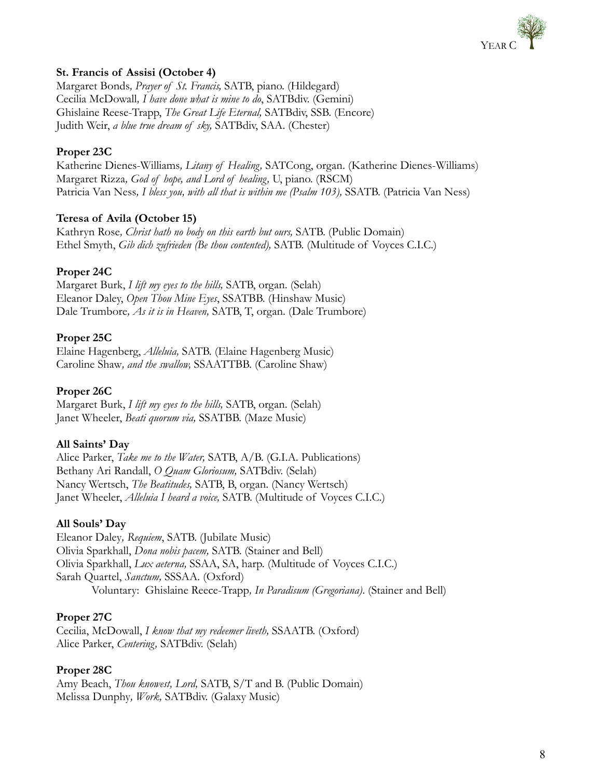

## **St. Francis of Assisi (October 4)**

Margaret Bonds*, Prayer of St. Francis,* SATB, piano. (Hildegard) Cecilia McDowall*, I have done what is mine to do*, SATBdiv. (Gemini) Ghislaine Reese-Trapp, *The Great Life Eternal,* SATBdiv, SSB. (Encore) Judith Weir, *a blue true dream of sky,* SATBdiv, SAA. (Chester)

## **Proper 23C**

Katherine Dienes-Williams*, Litany of Healing,* SATCong, organ. (Katherine Dienes-Williams) Margaret Rizza*, God of hope, and Lord of healing,* U, piano. (RSCM) Patricia Van Ness*, I bless you, with all that is within me (Psalm 103),* SSATB. (Patricia Van Ness)

## **Teresa of Avila (October 15)**

Kathryn Rose*, Christ hath no body on this earth but ours,* SATB. (Public Domain) Ethel Smyth, *Gib dich zufrieden (Be thou contented),* SATB. (Multitude of Voyces C.I.C.)

## **Proper 24C**

Margaret Burk, *I lift my eyes to the hills,* SATB, organ. (Selah) Eleanor Daley, *Open Thou Mine Eyes*, SSATBB. (Hinshaw Music) Dale Trumbore*, As it is in Heaven,* SATB, T, organ. (Dale Trumbore)

## **Proper 25C**

Elaine Hagenberg, *Alleluia,* SATB. (Elaine Hagenberg Music) Caroline Shaw*, and the swallow,* SSAATTBB. (Caroline Shaw)

#### **Proper 26C**

Margaret Burk, *I lift my eyes to the hills,* SATB, organ. (Selah) Janet Wheeler, *Beati quorum via,* SSATBB. (Maze Music)

## **All Saints' Day**

Alice Parker, *Take me to the Water,* SATB, A/B. (G.I.A. Publications) Bethany Ari Randall, *O Quam Gloriosum,* SATBdiv. (Selah) Nancy Wertsch, *The Beatitudes,* SATB, B, organ. (Nancy Wertsch) Janet Wheeler, *Alleluia I heard a voice,* SATB. (Multitude of Voyces C.I.C.)

#### **All Souls' Day**

Eleanor Daley*, Requiem*, SATB. (Jubilate Music) Olivia Sparkhall, *Dona nobis pacem,* SATB. (Stainer and Bell) Olivia Sparkhall, *Lux aeterna,* SSAA, SA, harp. (Multitude of Voyces C.I.C.) Sarah Quartel, *Sanctum,* SSSAA. (Oxford) Voluntary: Ghislaine Reece-Trapp*, In Paradisum (Gregoriana)*. (Stainer and Bell)

#### **Proper 27C**

Cecilia, McDowall, *I know that my redeemer liveth,* SSAATB. (Oxford) Alice Parker, *Centering,* SATBdiv. (Selah)

## **Proper 28C**

Amy Beach, *Thou knowest, Lord,* SATB, S/T and B. (Public Domain) Melissa Dunphy*, Work,* SATBdiv. (Galaxy Music)